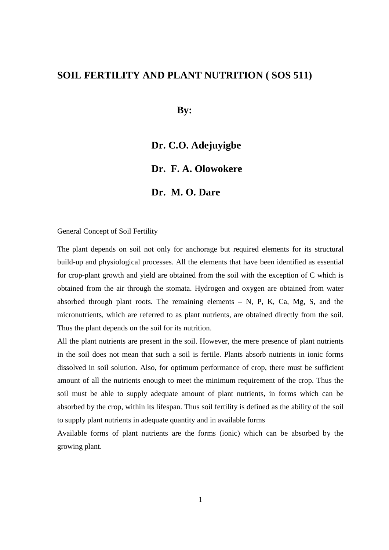# **SOIL FERTILITY AND PLANT NUTRITION ( SOS 511)**

**By:** 

# **Dr. C.O. Adejuyigbe**

# **Dr. F. A. Olowokere**

# **Dr. M. O. Dare**

# General Concept of Soil Fertility

The plant depends on soil not only for anchorage but required elements for its structural build-up and physiological processes. All the elements that have been identified as essential for crop-plant growth and yield are obtained from the soil with the exception of C which is obtained from the air through the stomata. Hydrogen and oxygen are obtained from water absorbed through plant roots. The remaining elements  $- N$ , P, K, Ca, Mg, S, and the micronutrients, which are referred to as plant nutrients, are obtained directly from the soil. Thus the plant depends on the soil for its nutrition.

All the plant nutrients are present in the soil. However, the mere presence of plant nutrients in the soil does not mean that such a soil is fertile. Plants absorb nutrients in ionic forms dissolved in soil solution. Also, for optimum performance of crop, there must be sufficient amount of all the nutrients enough to meet the minimum requirement of the crop. Thus the soil must be able to supply adequate amount of plant nutrients, in forms which can be absorbed by the crop, within its lifespan. Thus soil fertility is defined as the ability of the soil to supply plant nutrients in adequate quantity and in available forms

Available forms of plant nutrients are the forms (ionic) which can be absorbed by the growing plant.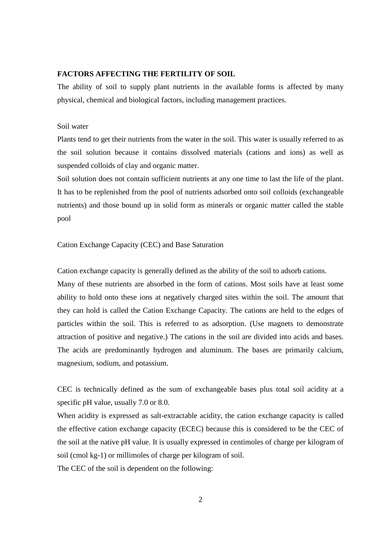# **FACTORS AFFECTING THE FERTILITY OF SOIL**

The ability of soil to supply plant nutrients in the available forms is affected by many physical, chemical and biological factors, including management practices.

# Soil water

Plants tend to get their nutrients from the water in the soil. This water is usually referred to as the soil solution because it contains dissolved materials (cations and ions) as well as suspended colloids of clay and organic matter.

Soil solution does not contain sufficient nutrients at any one time to last the life of the plant. It has to be replenished from the pool of nutrients adsorbed onto soil colloids (exchangeable nutrients) and those bound up in solid form as minerals or organic matter called the stable pool

Cation Exchange Capacity (CEC) and Base Saturation

Cation exchange capacity is generally defined as the ability of the soil to adsorb cations.

Many of these nutrients are absorbed in the form of cations. Most soils have at least some ability to hold onto these ions at negatively charged sites within the soil. The amount that they can hold is called the Cation Exchange Capacity. The cations are held to the edges of particles within the soil. This is referred to as adsorption. (Use magnets to demonstrate attraction of positive and negative.) The cations in the soil are divided into acids and bases. The acids are predominantly hydrogen and aluminum. The bases are primarily calcium, magnesium, sodium, and potassium.

CEC is technically defined as the sum of exchangeable bases plus total soil acidity at a specific pH value, usually 7.0 or 8.0.

When acidity is expressed as salt-extractable acidity, the cation exchange capacity is called the effective cation exchange capacity (ECEC) because this is considered to be the CEC of the soil at the native pH value. It is usually expressed in centimoles of charge per kilogram of soil (cmol kg-1) or millimoles of charge per kilogram of soil.

The CEC of the soil is dependent on the following: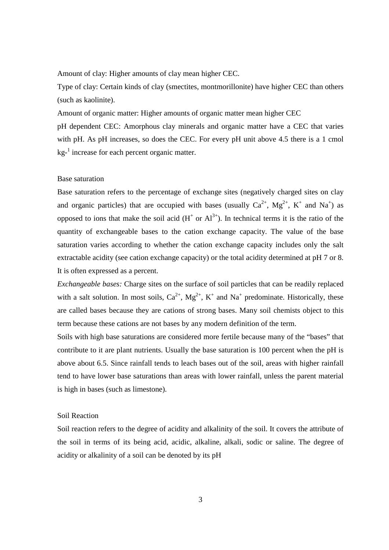Amount of clay: Higher amounts of clay mean higher CEC.

Type of clay: Certain kinds of clay (smectites, montmorillonite) have higher CEC than others (such as kaolinite).

Amount of organic matter: Higher amounts of organic matter mean higher CEC

pH dependent CEC: Amorphous clay minerals and organic matter have a CEC that varies with pH. As pH increases, so does the CEC. For every pH unit above 4.5 there is a 1 cmol kg<sup>-1</sup> increase for each percent organic matter.

# Base saturation

Base saturation refers to the percentage of exchange sites (negatively charged sites on clay and organic particles) that are occupied with bases (usually  $Ca^{2+}$ ,  $Mg^{2+}$ ,  $K^+$  and  $Na^+$ ) as opposed to ions that make the soil acid  $(H<sup>+</sup>$  or  $Al<sup>3+</sup>)$ . In technical terms it is the ratio of the quantity of exchangeable bases to the cation exchange capacity. The value of the base saturation varies according to whether the cation exchange capacity includes only the salt extractable acidity (see cation exchange capacity) or the total acidity determined at pH 7 or 8. It is often expressed as a percent.

*Exchangeable bases:* Charge sites on the surface of soil particles that can be readily replaced with a salt solution. In most soils,  $Ca^{2+}$ ,  $Mg^{2+}$ ,  $K^+$  and  $Na^+$  predominate. Historically, these are called bases because they are cations of strong bases. Many soil chemists object to this term because these cations are not bases by any modern definition of the term.

Soils with high base saturations are considered more fertile because many of the "bases" that contribute to it are plant nutrients. Usually the base saturation is 100 percent when the pH is above about 6.5. Since rainfall tends to leach bases out of the soil, areas with higher rainfall tend to have lower base saturations than areas with lower rainfall, unless the parent material is high in bases (such as limestone).

# Soil Reaction

Soil reaction refers to the degree of acidity and alkalinity of the soil. It covers the attribute of the soil in terms of its being acid, acidic, alkaline, alkali, sodic or saline. The degree of acidity or alkalinity of a soil can be denoted by its pH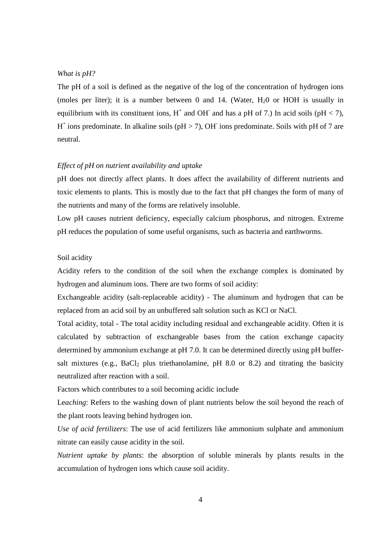### *What is pH?*

The pH of a soil is defined as the negative of the log of the concentration of hydrogen ions (moles per liter); it is a number between 0 and 14. (Water,  $H_2$ 0 or HOH is usually in equilibrium with its constituent ions,  $H^+$  and OH and has a pH of 7.) In acid soils (pH < 7),  $H^+$  ions predominate. In alkaline soils (pH > 7), OH ions predominate. Soils with pH of 7 are neutral.

# *Effect of pH on nutrient availability and uptake*

pH does not directly affect plants. It does affect the availability of different nutrients and toxic elements to plants. This is mostly due to the fact that pH changes the form of many of the nutrients and many of the forms are relatively insoluble.

Low pH causes nutrient deficiency, especially calcium phosphorus, and nitrogen. Extreme pH reduces the population of some useful organisms, such as bacteria and earthworms.

# Soil acidity

Acidity refers to the condition of the soil when the exchange complex is dominated by hydrogen and aluminum ions. There are two forms of soil acidity:

Exchangeable acidity (salt-replaceable acidity) - The aluminum and hydrogen that can be replaced from an acid soil by an unbuffered salt solution such as KCl or NaCl.

Total acidity, total - The total acidity including residual and exchangeable acidity. Often it is calculated by subtraction of exchangeable bases from the cation exchange capacity determined by ammonium exchange at pH 7.0. It can be determined directly using pH buffersalt mixtures (e.g., BaCl<sub>2</sub> plus triethanolamine, pH 8.0 or 8.2) and titrating the basicity neutralized after reaction with a soil.

Factors which contributes to a soil becoming acidic include

Le*aching*: Refers to the washing down of plant nutrients below the soil beyond the reach of the plant roots leaving behind hydrogen ion.

*Use of acid fertilizers*: The use of acid fertilizers like ammonium sulphate and ammonium nitrate can easily cause acidity in the soil.

*Nutrient uptake by plants*: the absorption of soluble minerals by plants results in the accumulation of hydrogen ions which cause soil acidity.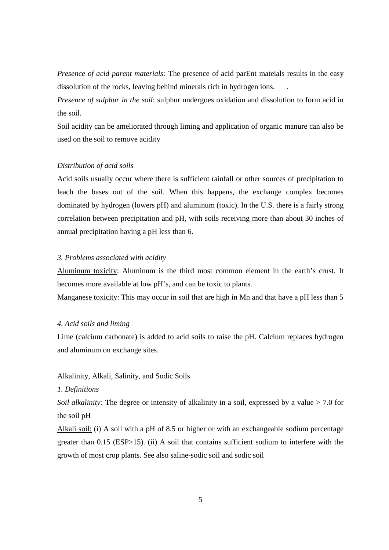*Presence of acid parent materials:* The presence of acid parEnt mateials results in the easy dissolution of the rocks, leaving behind minerals rich in hydrogen ions. .

*Presence of sulphur in the soil*: sulphur undergoes oxidation and dissolution to form acid in the soil.

Soil acidity can be ameliorated through liming and application of organic manure can also be used on the soil to remove acidity

# *Distribution of acid soils*

Acid soils usually occur where there is sufficient rainfall or other sources of precipitation to leach the bases out of the soil. When this happens, the exchange complex becomes dominated by hydrogen (lowers pH) and aluminum (toxic). In the U.S. there is a fairly strong correlation between precipitation and pH, with soils receiving more than about 30 inches of annual precipitation having a pH less than 6.

### *3. Problems associated with acidity*

Aluminum toxicity: Aluminum is the third most common element in the earth's crust. It becomes more available at low pH's, and can be toxic to plants.

Manganese toxicity: This may occur in soil that are high in Mn and that have a pH less than 5

# *4. Acid soils and liming*

Lime (calcium carbonate) is added to acid soils to raise the pH. Calcium replaces hydrogen and aluminum on exchange sites.

Alkalinity, Alkali, Salinity, and Sodic Soils

# *1. Definitions*

*Soil alkalinity:* The degree or intensity of alkalinity in a soil, expressed by a value > 7.0 for the soil pH

Alkali soil: (i) A soil with a pH of 8.5 or higher or with an exchangeable sodium percentage greater than 0.15 (ESP>15). (ii) A soil that contains sufficient sodium to interfere with the growth of most crop plants. See also saline-sodic soil and sodic soil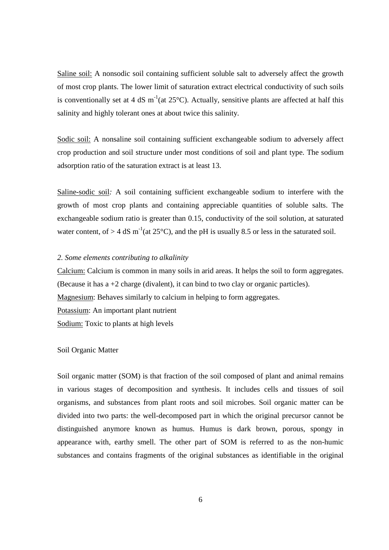Saline soil: A nonsodic soil containing sufficient soluble salt to adversely affect the growth of most crop plants. The lower limit of saturation extract electrical conductivity of such soils is conventionally set at 4 dS  $m^{-1}$ (at 25 $^{\circ}$ C). Actually, sensitive plants are affected at half this salinity and highly tolerant ones at about twice this salinity.

Sodic soil: A nonsaline soil containing sufficient exchangeable sodium to adversely affect crop production and soil structure under most conditions of soil and plant type. The sodium adsorption ratio of the saturation extract is at least 13.

Saline-sodic soil*:* A soil containing sufficient exchangeable sodium to interfere with the growth of most crop plants and containing appreciable quantities of soluble salts. The exchangeable sodium ratio is greater than 0.15, conductivity of the soil solution, at saturated water content, of  $> 4$  dS m<sup>-1</sup>(at 25<sup>o</sup>C), and the pH is usually 8.5 or less in the saturated soil.

### *2. Some elements contributing to alkalinity*

Calcium: Calcium is common in many soils in arid areas. It helps the soil to form aggregates. (Because it has a +2 charge (divalent), it can bind to two clay or organic particles). Magnesium: Behaves similarly to calcium in helping to form aggregates. Potassium: An important plant nutrient Sodium: Toxic to plants at high levels

# Soil Organic Matter

Soil organic matter (SOM) is that fraction of the soil composed of plant and animal remains in various stages of decomposition and synthesis. It includes cells and tissues of soil organisms, and substances from plant roots and soil microbes. Soil organic matter can be divided into two parts: the well-decomposed part in which the original precursor cannot be distinguished anymore known as humus. Humus is dark brown, porous, spongy in appearance with, earthy smell. The other part of SOM is referred to as the non-humic substances and contains fragments of the original substances as identifiable in the original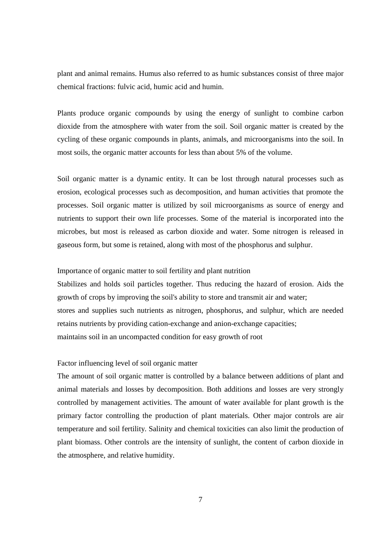plant and animal remains. Humus also referred to as humic substances consist of three major chemical fractions: fulvic acid, humic acid and humin.

Plants produce organic compounds by using the energy of sunlight to combine carbon dioxide from the atmosphere with water from the soil. Soil organic matter is created by the cycling of these organic compounds in plants, animals, and microorganisms into the soil. In most soils, the organic matter accounts for less than about 5% of the volume.

Soil organic matter is a dynamic entity. It can be lost through natural processes such as erosion, ecological processes such as decomposition, and human activities that promote the processes. Soil organic matter is utilized by soil microorganisms as source of energy and nutrients to support their own life processes. Some of the material is incorporated into the microbes, but most is released as carbon dioxide and water. Some nitrogen is released in gaseous form, but some is retained, along with most of the phosphorus and sulphur.

# Importance of organic matter to soil fertility and plant nutrition

Stabilizes and holds soil particles together. Thus reducing the hazard of erosion. Aids the growth of crops by improving the soil's ability to store and transmit air and water; stores and supplies such nutrients as nitrogen, phosphorus, and sulphur, which are needed retains nutrients by providing cation-exchange and anion-exchange capacities; maintains soil in an uncompacted condition for easy growth of root

### Factor influencing level of soil organic matter

The amount of soil organic matter is controlled by a balance between additions of plant and animal materials and losses by decomposition. Both additions and losses are very strongly controlled by management activities. The amount of water available for plant growth is the primary factor controlling the production of plant materials. Other major controls are air temperature and soil fertility. Salinity and chemical toxicities can also limit the production of plant biomass. Other controls are the intensity of sunlight, the content of carbon dioxide in the atmosphere, and relative humidity.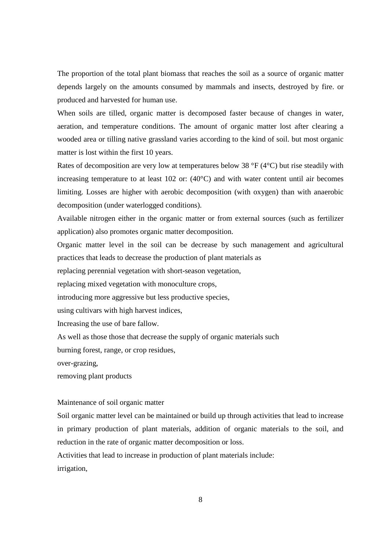The proportion of the total plant biomass that reaches the soil as a source of organic matter depends largely on the amounts consumed by mammals and insects, destroyed by fire. or produced and harvested for human use.

When soils are tilled, organic matter is decomposed faster because of changes in water, aeration, and temperature conditions. The amount of organic matter lost after clearing a wooded area or tilling native grassland varies according to the kind of soil. but most organic matter is lost within the first 10 years.

Rates of decomposition are very low at temperatures below 38  $\degree$ F (4 $\degree$ C) but rise steadily with increasing temperature to at least 102 or: (40°C) and with water content until air becomes limiting. Losses are higher with aerobic decomposition (with oxygen) than with anaerobic decomposition (under waterlogged conditions).

Available nitrogen either in the organic matter or from external sources (such as fertilizer application) also promotes organic matter decomposition.

Organic matter level in the soil can be decrease by such management and agricultural practices that leads to decrease the production of plant materials as

replacing perennial vegetation with short-season vegetation,

replacing mixed vegetation with monoculture crops,

introducing more aggressive but less productive species,

using cultivars with high harvest indices,

Increasing the use of bare fallow.

As well as those those that decrease the supply of organic materials such

burning forest, range, or crop residues,

over-grazing,

removing plant products

# Maintenance of soil organic matter

Soil organic matter level can be maintained or build up through activities that lead to increase in primary production of plant materials, addition of organic materials to the soil, and reduction in the rate of organic matter decomposition or loss.

Activities that lead to increase in production of plant materials include:

irrigation,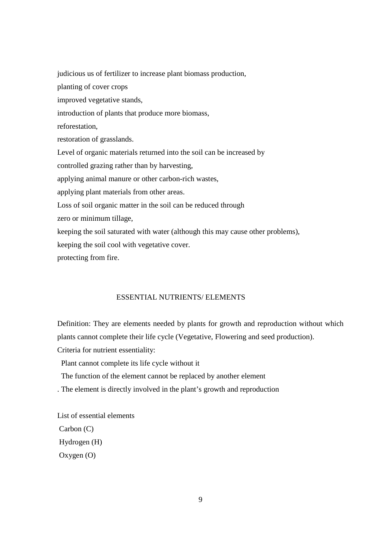judicious us of fertilizer to increase plant biomass production, planting of cover crops improved vegetative stands, introduction of plants that produce more biomass, reforestation, restoration of grasslands. Level of organic materials returned into the soil can be increased by controlled grazing rather than by harvesting, applying animal manure or other carbon-rich wastes, applying plant materials from other areas. Loss of soil organic matter in the soil can be reduced through zero or minimum tillage, keeping the soil saturated with water (although this may cause other problems), keeping the soil cool with vegetative cover. protecting from fire.

# ESSENTIAL NUTRIENTS/ ELEMENTS

Definition: They are elements needed by plants for growth and reproduction without which plants cannot complete their life cycle (Vegetative, Flowering and seed production). Criteria for nutrient essentiality:

Plant cannot complete its life cycle without it

The function of the element cannot be replaced by another element

. The element is directly involved in the plant's growth and reproduction

List of essential elements Carbon (C) Hydrogen (H) Oxygen (O)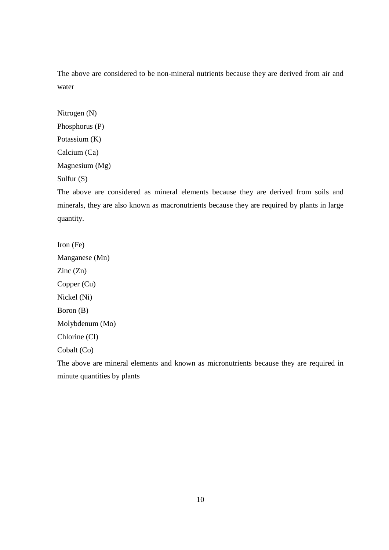The above are considered to be non-mineral nutrients because they are derived from air and water

Nitrogen (N) Phosphorus (P) Potassium (K) Calcium (Ca) Magnesium (Mg) Sulfur (S)

The above are considered as mineral elements because they are derived from soils and minerals, they are also known as macronutrients because they are required by plants in large quantity.

Iron (Fe) Manganese (Mn) Zinc (Zn) Copper (Cu) Nickel (Ni) Boron (B) Molybdenum (Mo) Chlorine (Cl) Cobalt (Co)

The above are mineral elements and known as micronutrients because they are required in minute quantities by plants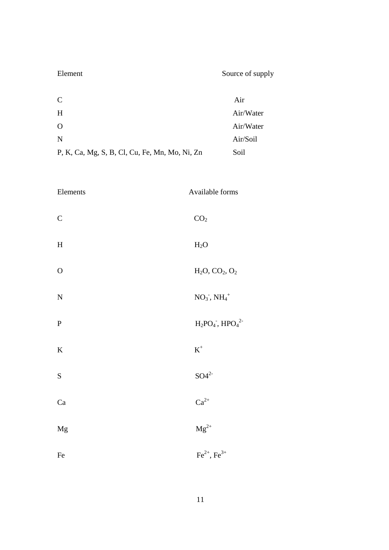| Element                                        | Source of supply |
|------------------------------------------------|------------------|
| $\mathsf{C}$                                   | Air              |
| H                                              | Air/Water        |
| O                                              | Air/Water        |
| N                                              | Air/Soil         |
| P, K, Ca, Mg, S, B, Cl, Cu, Fe, Mn, Mo, Ni, Zn | Soil             |

| Elements                  | Available forms       |
|---------------------------|-----------------------|
| $\mathsf C$               | CO <sub>2</sub>       |
| $\boldsymbol{\mathrm{H}}$ | $H_2O$                |
| $\mathcal{O}$             | $H_2O, CO_2, O_2$     |
| ${\bf N}$                 | $NO3$ , $NH4+$        |
| ${\bf P}$                 | $H_2PO_4$ , $HPO_4^2$ |
| $\bf K$                   | $\mbox{K}^+$          |
| ${\bf S}$                 | $SO4^{2-}$            |
| $\rm Ca$                  | $Ca^{2+}$             |
| Mg                        | $\rm Mg^{2+}$         |
| Fe                        | $Fe^{2+}$ , $Fe^{3+}$ |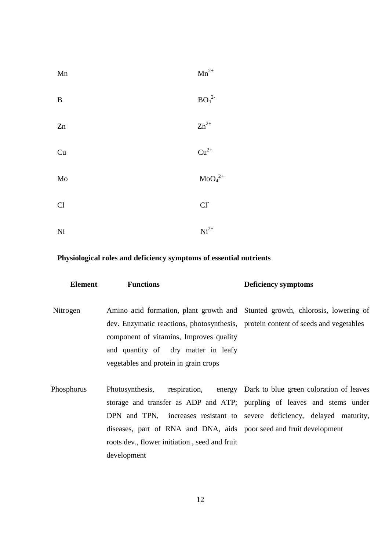| Mn          | ${\rm Mn}^{2+}$              |
|-------------|------------------------------|
| $\mathbf B$ | BO <sub>4</sub> <sup>2</sup> |
| Zn          | $\rm Zn^{2+}$                |
| Cu          | $\mathrm{Cu}^{2+}$           |
| Mo          | $\mathrm{MoO_4}^{2+}$        |
| Cl          | $Cl-$                        |
| Ni          | $\mathrm{Ni}^{2+}$           |

# **Physiological roles and deficiency symptoms of essential nutrients**

| Element    | <b>Functions</b>                                                                                                                                                                                                                                                                                              | <b>Deficiency symptoms</b>                                  |
|------------|---------------------------------------------------------------------------------------------------------------------------------------------------------------------------------------------------------------------------------------------------------------------------------------------------------------|-------------------------------------------------------------|
| Nitrogen   | Amino acid formation, plant growth and Stunted growth, chlorosis, lowering of<br>dev. Enzymatic reactions, photosynthesis, protein content of seeds and vegetables<br>component of vitamins, Improves quality<br>and quantity of dry matter in leafy<br>vegetables and protein in grain crops                 |                                                             |
| Phosphorus | Photosynthesis,<br>storage and transfer as ADP and ATP; purpling of leaves and stems under<br>DPN and TPN, increases resistant to severe deficiency, delayed maturity,<br>diseases, part of RNA and DNA, aids poor seed and fruit development<br>roots dev., flower initiation, seed and fruit<br>development | respiration, energy Dark to blue green coloration of leaves |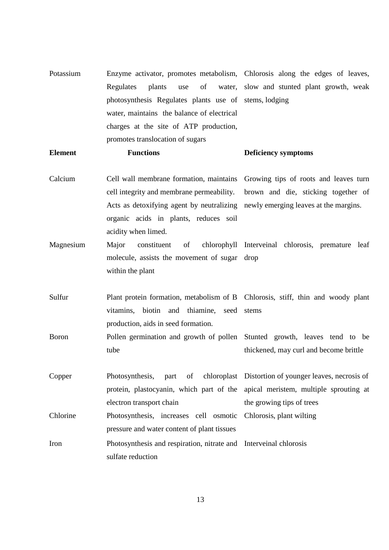| Potassium      | Enzyme activator, promotes metabolism, Chlorosis along the edges of leaves,     |                                                       |
|----------------|---------------------------------------------------------------------------------|-------------------------------------------------------|
|                | of<br>Regulates<br>plants<br>use                                                | water, slow and stunted plant growth, weak            |
|                | photosynthesis Regulates plants use of stems, lodging                           |                                                       |
|                | water, maintains the balance of electrical                                      |                                                       |
|                | charges at the site of ATP production,                                          |                                                       |
|                | promotes translocation of sugars                                                |                                                       |
| <b>Element</b> | <b>Functions</b>                                                                | <b>Deficiency symptoms</b>                            |
| Calcium        | Cell wall membrane formation, maintains Growing tips of roots and leaves turn   |                                                       |
|                | cell integrity and membrane permeability.                                       | brown and die, sticking together of                   |
|                | Acts as detoxifying agent by neutralizing newly emerging leaves at the margins. |                                                       |
|                | organic acids in plants, reduces soil                                           |                                                       |
|                | acidity when limed.                                                             |                                                       |
| Magnesium      | constituent<br>Major<br>of                                                      | chlorophyll Interveinal chlorosis, premature leaf     |
|                | molecule, assists the movement of sugar drop                                    |                                                       |
|                | within the plant                                                                |                                                       |
| Sulfur         | Plant protein formation, metabolism of B Chlorosis, stiff, thin and woody plant |                                                       |
|                | vitamins, biotin and thiamine, seed stems                                       |                                                       |
|                | production, aids in seed formation.                                             |                                                       |
| <b>Boron</b>   | Pollen germination and growth of pollen Stunted growth, leaves tend to be       |                                                       |
|                | tube                                                                            | thickened, may curl and become brittle                |
| Copper         | Photosynthesis,<br>part<br>of                                                   | chloroplast Distortion of younger leaves, necrosis of |
|                | protein, plastocyanin, which part of the apical meristem, multiple sprouting at |                                                       |
|                | electron transport chain                                                        | the growing tips of trees                             |
| Chlorine       | Photosynthesis, increases cell osmotic                                          | Chlorosis, plant wilting                              |
|                | pressure and water content of plant tissues                                     |                                                       |
| Iron           | Photosynthesis and respiration, nitrate and Interveinal chlorosis               |                                                       |
|                | sulfate reduction                                                               |                                                       |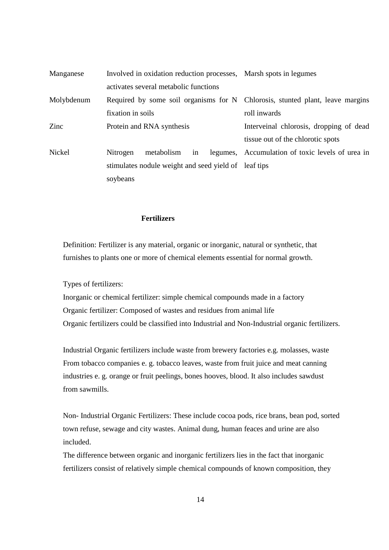| Manganese     | Involved in oxidation reduction processes, Marsh spots in legumes             |                                                  |
|---------------|-------------------------------------------------------------------------------|--------------------------------------------------|
|               | activates several metabolic functions                                         |                                                  |
| Molybdenum    | Required by some soil organisms for N Chlorosis, stunted plant, leave margins |                                                  |
|               | fixation in soils                                                             | roll inwards                                     |
| Zinc          | Protein and RNA synthesis                                                     | Interveinal chlorosis, dropping of dead          |
|               |                                                                               | tissue out of the chlorotic spots                |
| <b>Nickel</b> | in<br>metabolism<br>Nitrogen                                                  | legumes, Accumulation of toxic levels of urea in |
|               | stimulates nodule weight and seed yield of leaf tips                          |                                                  |
|               | soybeans                                                                      |                                                  |

# **Fertilizers**

 Definition: Fertilizer is any material, organic or inorganic, natural or synthetic, that furnishes to plants one or more of chemical elements essential for normal growth.

Types of fertilizers:

 Inorganic or chemical fertilizer: simple chemical compounds made in a factory Organic fertilizer: Composed of wastes and residues from animal life Organic fertilizers could be classified into Industrial and Non-Industrial organic fertilizers.

 Industrial Organic fertilizers include waste from brewery factories e.g. molasses, waste From tobacco companies e. g. tobacco leaves, waste from fruit juice and meat canning industries e. g. orange or fruit peelings, bones hooves, blood. It also includes sawdust from sawmills.

 Non- Industrial Organic Fertilizers: These include cocoa pods, rice brans, bean pod, sorted town refuse, sewage and city wastes. Animal dung, human feaces and urine are also included.

 The difference between organic and inorganic fertilizers lies in the fact that inorganic fertilizers consist of relatively simple chemical compounds of known composition, they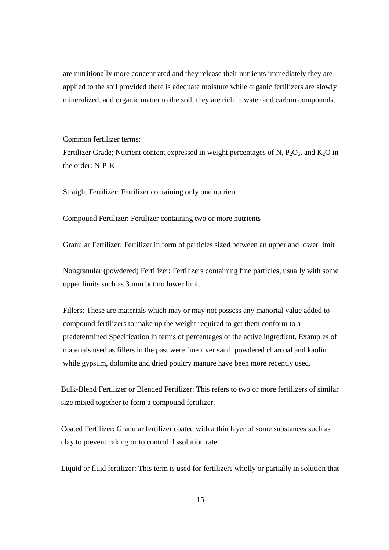are nutritionally more concentrated and they release their nutrients immediately they are applied to the soil provided there is adequate moisture while organic fertilizers are slowly mineralized, add organic matter to the soil, they are rich in water and carbon compounds.

Common fertilizer terms:

Fertilizer Grade; Nutrient content expressed in weight percentages of N,  $P_2O_5$ , and  $K_2O$  in the order: N-P-K

Straight Fertilizer: Fertilizer containing only one nutrient

Compound Fertilizer: Fertilizer containing two or more nutrients

Granular Fertilizer: Fertilizer in form of particles sized between an upper and lower limit

 Nongranular (powdered) Fertilizer: Fertilizers containing fine particles, usually with some upper limits such as 3 mm but no lower limit.

 Fillers: These are materials which may or may not possess any manorial value added to compound fertilizers to make up the weight required to get them conform to a predetermined Specification in terms of percentages of the active ingredient. Examples of materials used as fillers in the past were fine river sand, powdered charcoal and kaolin while gypsum, dolomite and dried poultry manure have been more recently used.

 Bulk-Blend Fertilizer or Blended Fertilizer: This refers to two or more fertilizers of similar size mixed together to form a compound fertilizer.

 Coated Fertilizer: Granular fertilizer coated with a thin layer of some substances such as clay to prevent caking or to control dissolution rate.

Liquid or fluid fertilizer: This term is used for fertilizers wholly or partially in solution that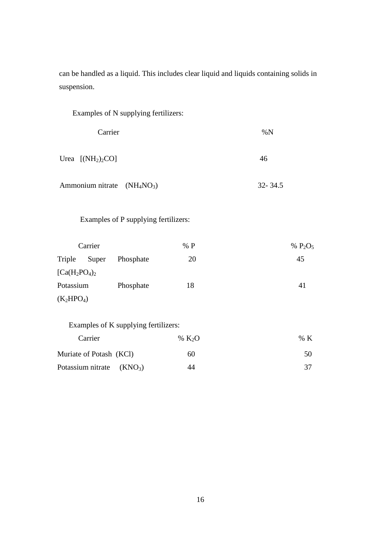can be handled as a liquid. This includes clear liquid and liquids containing solids in suspension.

| Carrier                 |          | %N                                                                                                                                                    |
|-------------------------|----------|-------------------------------------------------------------------------------------------------------------------------------------------------------|
| Urea $[NH_2)_2CO]$      |          | 46                                                                                                                                                    |
|                         |          | $32 - 34.5$                                                                                                                                           |
|                         |          |                                                                                                                                                       |
|                         | % P      | % $P_2O_5$                                                                                                                                            |
| Phosphate               | 20       | 45                                                                                                                                                    |
|                         |          |                                                                                                                                                       |
| Phosphate               | 18       | 41                                                                                                                                                    |
|                         |          |                                                                                                                                                       |
|                         |          |                                                                                                                                                       |
|                         | % $K_2O$ | $\% K$                                                                                                                                                |
| Muriate of Potash (KCl) | 60       | 50                                                                                                                                                    |
| (KNO <sub>3</sub> )     | 44       | 37                                                                                                                                                    |
|                         |          | Examples of N supplying fertilizers:<br>Ammonium nitrate $(NH_4NO_3)$<br>Examples of P supplying fertilizers:<br>Examples of K supplying fertilizers: |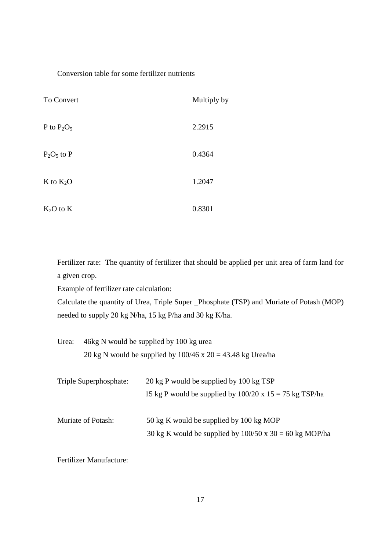# Conversion table for some fertilizer nutrients

| To Convert    | Multiply by |
|---------------|-------------|
| P to $P_2O_5$ | 2.2915      |
| $P_2O_5$ to P | 0.4364      |
| $K$ to $K_2O$ | 1.2047      |
| $K_2O$ to $K$ | 0.8301      |

Fertilizer rate: The quantity of fertilizer that should be applied per unit area of farm land for a given crop.

Example of fertilizer rate calculation:

Calculate the quantity of Urea, Triple Super \_Phosphate (TSP) and Muriate of Potash (MOP) needed to supply 20 kg N/ha, 15 kg P/ha and 30 kg K/ha.

| Urea: | 46kg N would be supplied by 100 kg urea                         |
|-------|-----------------------------------------------------------------|
|       | 20 kg N would be supplied by $100/46$ x $20 = 43.48$ kg Urea/ha |
|       |                                                                 |

| Triple Superphosphate: | 20 kg P would be supplied by 100 kg TSP                        |
|------------------------|----------------------------------------------------------------|
|                        | 15 kg P would be supplied by $100/20 \times 15 = 75$ kg TSP/ha |
| Muriate of Potash:     | 50 kg K would be supplied by 100 kg MOP                        |
|                        | 30 kg K would be supplied by $100/50$ x 30 = 60 kg MOP/ha      |

Fertilizer Manufacture: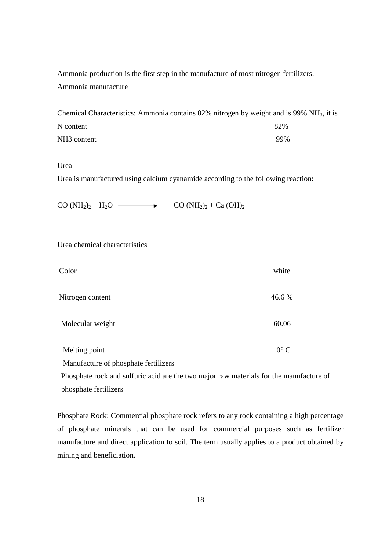Ammonia production is the first step in the manufacture of most nitrogen fertilizers. Ammonia manufacture

|                         | Chemical Characteristics: Ammonia contains $82\%$ nitrogen by weight and is 99% NH <sub>3</sub> , it is |
|-------------------------|---------------------------------------------------------------------------------------------------------|
| N content               | 82%                                                                                                     |
| NH <sub>3</sub> content | 99%                                                                                                     |

Urea

Urea is manufactured using calcium cyanamide according to the following reaction:

 $CO (NH<sub>2</sub>)<sub>2</sub> + H<sub>2</sub>O$   $\longrightarrow$   $CO (NH<sub>2</sub>)<sub>2</sub> + Ca (OH)<sub>2</sub>$ 

Urea chemical characteristics

| Color                                | white         |
|--------------------------------------|---------------|
| Nitrogen content                     | 46.6 %        |
| Molecular weight                     | 60.06         |
| Melting point                        | $0^{\circ}$ C |
| Manufacture of phosphate fertilizers |               |

 Phosphate rock and sulfuric acid are the two major raw materials for the manufacture of phosphate fertilizers

Phosphate Rock: Commercial phosphate rock refers to any rock containing a high percentage of phosphate minerals that can be used for commercial purposes such as fertilizer manufacture and direct application to soil. The term usually applies to a product obtained by mining and beneficiation.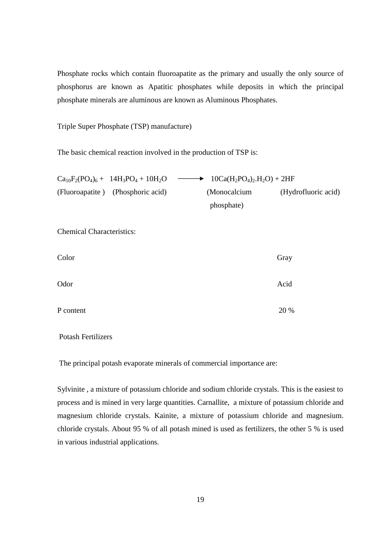Phosphate rocks which contain fluoroapatite as the primary and usually the only source of phosphorus are known as Apatitic phosphates while deposits in which the principal phosphate minerals are aluminous are known as Aluminous Phosphates.

Triple Super Phosphate (TSP) manufacture)

The basic chemical reaction involved in the production of TSP is:

| $Ca_{10}F_2(PO_4)_6 + 14H_3PO_4 + 10H_2O$ | $\longrightarrow$ 10Ca(H <sub>2</sub> PO <sub>4</sub> ) <sub>2</sub> .H <sub>2</sub> O) + 2HF |                     |
|-------------------------------------------|-----------------------------------------------------------------------------------------------|---------------------|
| (Fluoroapatite) (Phosphoric acid)         | (Monocalcium                                                                                  | (Hydrofluoric acid) |
|                                           | phosphate)                                                                                    |                     |

Chemical Characteristics:

| Color     | Gray |
|-----------|------|
| Odor      | Acid |
| P content | 20 % |

Potash Fertilizers

The principal potash evaporate minerals of commercial importance are:

Sylvinite , a mixture of potassium chloride and sodium chloride crystals. This is the easiest to process and is mined in very large quantities. Carnallite, a mixture of potassium chloride and magnesium chloride crystals. Kainite, a mixture of potassium chloride and magnesium. chloride crystals. About 95 % of all potash mined is used as fertilizers, the other 5 % is used in various industrial applications.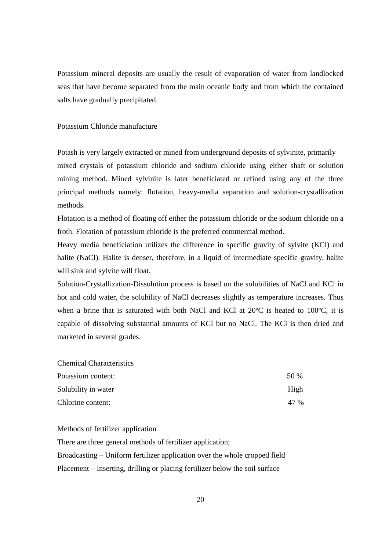Potassium mineral deposits are usually the result of evaporation of water from landlocked seas that have become separated from the main oceanic body and from which the contained salts have gradually precipitated.

# Potassium Chloride manufacture

Potash is very largely extracted or mined from underground deposits of sylvinite, primarily mixed crystals of potassium chloride and sodium chloride using either shaft or solution mining method. Mined sylvinite is later beneficiated or refined using any of the three principal methods namely: flotation, heavy-media separation and solution-crystallization methods.

Flotation is a method of floating off either the potassium chloride or the sodium chloride on a froth. Flotation of potassium chloride is the preferred commercial method.

Heavy media beneficiation utilizes the difference in specific gravity of sylvite (KCl) and halite (NaCl). Halite is denser, therefore, in a liquid of intermediate specific gravity, halite will sink and sylvite will float.

Solution-Crystallization-Dissolution process is based on the solubilities of NaCl and KCl in hot and cold water, the solubility of NaCl decreases slightly as temperature increases. Thus when a brine that is saturated with both NaCl and KCl at 20°C is heated to 100°C, it is capable of dissolving substantial amounts of KCl but no NaCl. The KCl is then dried and marketed in several grades.

| <b>Chemical Characteristics</b> |      |
|---------------------------------|------|
| Potassium content:              | 50 % |
| Solubility in water             | High |
| Chlorine content:               | 47 % |

Methods of fertilizer application

There are three general methods of fertilizer application; Broadcasting – Uniform fertilizer application over the whole cropped field Placement – Inserting, drilling or placing fertilizer below the soil surface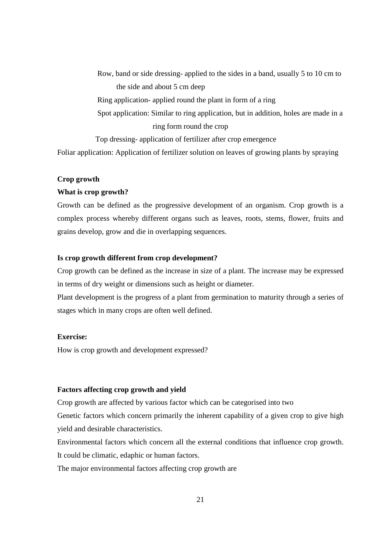Row, band or side dressing- applied to the sides in a band, usually 5 to 10 cm to the side and about 5 cm deep Ring application- applied round the plant in form of a ring Spot application: Similar to ring application, but in addition, holes are made in a ring form round the crop Top dressing- application of fertilizer after crop emergence Foliar application: Application of fertilizer solution on leaves of growing plants by spraying

# **Crop growth**

# **What is crop growth?**

Growth can be defined as the progressive development of an organism. Crop growth is a complex process whereby different organs such as leaves, roots, stems, flower, fruits and grains develop, grow and die in overlapping sequences.

# **Is crop growth different from crop development?**

Crop growth can be defined as the increase in size of a plant. The increase may be expressed in terms of dry weight or dimensions such as height or diameter.

Plant development is the progress of a plant from germination to maturity through a series of stages which in many crops are often well defined.

# **Exercise:**

How is crop growth and development expressed?

# **Factors affecting crop growth and yield**

Crop growth are affected by various factor which can be categorised into two

Genetic factors which concern primarily the inherent capability of a given crop to give high yield and desirable characteristics.

Environmental factors which concern all the external conditions that influence crop growth. It could be climatic, edaphic or human factors.

The major environmental factors affecting crop growth are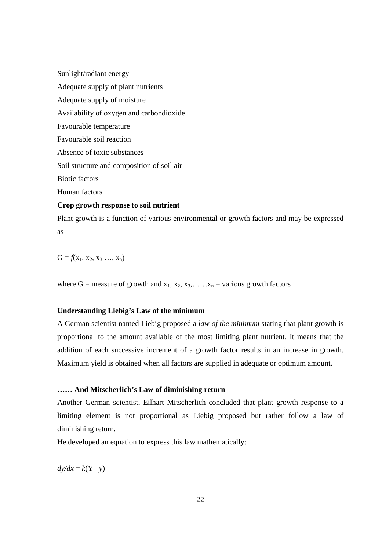Sunlight/radiant energy Adequate supply of plant nutrients Adequate supply of moisture Availability of oxygen and carbondioxide Favourable temperature Favourable soil reaction Absence of toxic substances Soil structure and composition of soil air Biotic factors Human factors **Crop growth response to soil nutrient** 

Plant growth is a function of various environmental or growth factors and may be expressed as

 $G = f(x_1, x_2, x_3, \ldots, x_n)$ 

where G = measure of growth and  $x_1, x_2, x_3, \ldots, x_n$  = various growth factors

# **Understanding Liebig's Law of the minimum**

A German scientist named Liebig proposed a *law of the minimum* stating that plant growth is proportional to the amount available of the most limiting plant nutrient. It means that the addition of each successive increment of a growth factor results in an increase in growth. Maximum yield is obtained when all factors are supplied in adequate or optimum amount.

# **…… And Mitscherlich's Law of diminishing return**

Another German scientist, Eilhart Mitscherlich concluded that plant growth response to a limiting element is not proportional as Liebig proposed but rather follow a law of diminishing return.

He developed an equation to express this law mathematically:

 $dy/dx = k(Y - y)$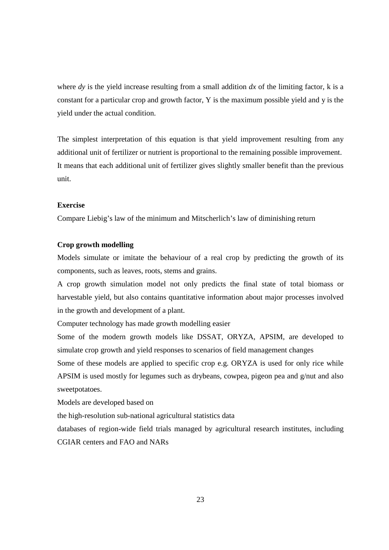where *dy* is the yield increase resulting from a small addition *dx* of the limiting factor, k is a constant for a particular crop and growth factor, Y is the maximum possible yield and y is the yield under the actual condition.

The simplest interpretation of this equation is that yield improvement resulting from any additional unit of fertilizer or nutrient is proportional to the remaining possible improvement. It means that each additional unit of fertilizer gives slightly smaller benefit than the previous unit.

# **Exercise**

Compare Liebig's law of the minimum and Mitscherlich's law of diminishing return

# **Crop growth modelling**

Models simulate or imitate the behaviour of a real crop by predicting the growth of its components, such as leaves, roots, stems and grains.

A crop growth simulation model not only predicts the final state of total biomass or harvestable yield, but also contains quantitative information about major processes involved in the growth and development of a plant.

Computer technology has made growth modelling easier

Some of the modern growth models like DSSAT, ORYZA, APSIM, are developed to simulate crop growth and yield responses to scenarios of field management changes

Some of these models are applied to specific crop e.g. ORYZA is used for only rice while APSIM is used mostly for legumes such as drybeans, cowpea, pigeon pea and g/nut and also sweetpotatoes.

Models are developed based on

the high-resolution sub-national agricultural statistics data

databases of region-wide field trials managed by agricultural research institutes, including CGIAR centers and FAO and NARs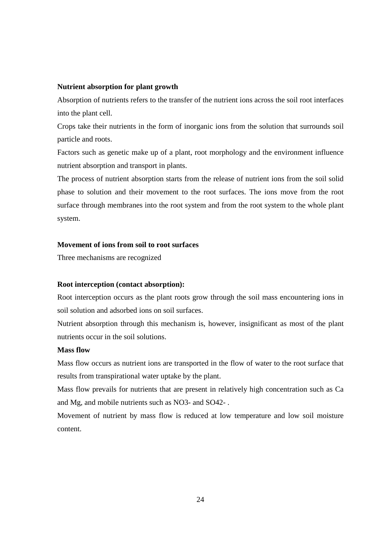# **Nutrient absorption for plant growth**

Absorption of nutrients refers to the transfer of the nutrient ions across the soil root interfaces into the plant cell.

Crops take their nutrients in the form of inorganic ions from the solution that surrounds soil particle and roots.

Factors such as genetic make up of a plant, root morphology and the environment influence nutrient absorption and transport in plants.

The process of nutrient absorption starts from the release of nutrient ions from the soil solid phase to solution and their movement to the root surfaces. The ions move from the root surface through membranes into the root system and from the root system to the whole plant system.

# **Movement of ions from soil to root surfaces**

Three mechanisms are recognized

# **Root interception (contact absorption):**

Root interception occurs as the plant roots grow through the soil mass encountering ions in soil solution and adsorbed ions on soil surfaces.

Nutrient absorption through this mechanism is, however, insignificant as most of the plant nutrients occur in the soil solutions.

### **Mass flow**

Mass flow occurs as nutrient ions are transported in the flow of water to the root surface that results from transpirational water uptake by the plant.

Mass flow prevails for nutrients that are present in relatively high concentration such as Ca and Mg, and mobile nutrients such as NO3- and SO42- .

Movement of nutrient by mass flow is reduced at low temperature and low soil moisture content.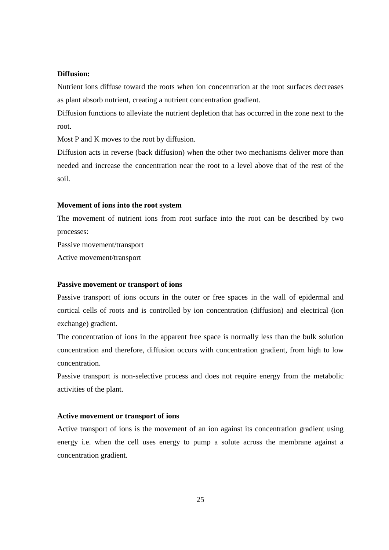# **Diffusion:**

Nutrient ions diffuse toward the roots when ion concentration at the root surfaces decreases as plant absorb nutrient, creating a nutrient concentration gradient.

Diffusion functions to alleviate the nutrient depletion that has occurred in the zone next to the root.

Most P and K moves to the root by diffusion.

Diffusion acts in reverse (back diffusion) when the other two mechanisms deliver more than needed and increase the concentration near the root to a level above that of the rest of the soil.

# **Movement of ions into the root system**

The movement of nutrient ions from root surface into the root can be described by two processes:

Passive movement/transport

Active movement/transport

# **Passive movement or transport of ions**

Passive transport of ions occurs in the outer or free spaces in the wall of epidermal and cortical cells of roots and is controlled by ion concentration (diffusion) and electrical (ion exchange) gradient.

The concentration of ions in the apparent free space is normally less than the bulk solution concentration and therefore, diffusion occurs with concentration gradient, from high to low concentration.

Passive transport is non-selective process and does not require energy from the metabolic activities of the plant.

### **Active movement or transport of ions**

Active transport of ions is the movement of an ion against its concentration gradient using energy i.e. when the cell uses energy to pump a solute across the membrane against a concentration gradient.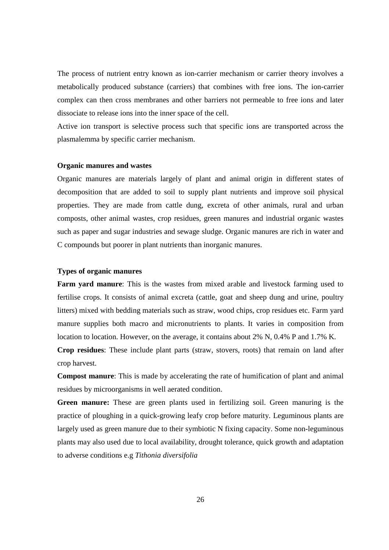The process of nutrient entry known as ion-carrier mechanism or carrier theory involves a metabolically produced substance (carriers) that combines with free ions. The ion-carrier complex can then cross membranes and other barriers not permeable to free ions and later dissociate to release ions into the inner space of the cell.

Active ion transport is selective process such that specific ions are transported across the plasmalemma by specific carrier mechanism.

### **Organic manures and wastes**

Organic manures are materials largely of plant and animal origin in different states of decomposition that are added to soil to supply plant nutrients and improve soil physical properties. They are made from cattle dung, excreta of other animals, rural and urban composts, other animal wastes, crop residues, green manures and industrial organic wastes such as paper and sugar industries and sewage sludge. Organic manures are rich in water and C compounds but poorer in plant nutrients than inorganic manures.

# **Types of organic manures**

**Farm yard manure**: This is the wastes from mixed arable and livestock farming used to fertilise crops. It consists of animal excreta (cattle, goat and sheep dung and urine, poultry litters) mixed with bedding materials such as straw, wood chips, crop residues etc. Farm yard manure supplies both macro and micronutrients to plants. It varies in composition from location to location. However, on the average, it contains about 2% N, 0.4% P and 1.7% K.

**Crop residues**: These include plant parts (straw, stovers, roots) that remain on land after crop harvest.

**Compost manure**: This is made by accelerating the rate of humification of plant and animal residues by microorganisms in well aerated condition.

**Green manure:** These are green plants used in fertilizing soil. Green manuring is the practice of ploughing in a quick-growing leafy crop before maturity. Leguminous plants are largely used as green manure due to their symbiotic N fixing capacity. Some non-leguminous plants may also used due to local availability, drought tolerance, quick growth and adaptation to adverse conditions e.g *Tithonia diversifolia*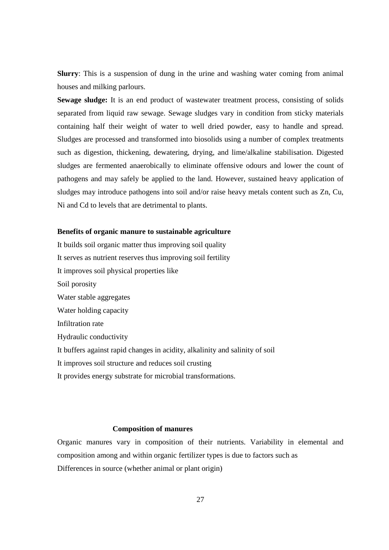**Slurry**: This is a suspension of dung in the urine and washing water coming from animal houses and milking parlours.

**Sewage sludge:** It is an end product of wastewater treatment process, consisting of solids separated from liquid raw sewage. Sewage sludges vary in condition from sticky materials containing half their weight of water to well dried powder, easy to handle and spread. Sludges are processed and transformed into biosolids using a number of complex treatments such as digestion, thickening, dewatering, drying, and lime/alkaline stabilisation. Digested sludges are fermented anaerobically to eliminate offensive odours and lower the count of pathogens and may safely be applied to the land. However, sustained heavy application of sludges may introduce pathogens into soil and/or raise heavy metals content such as Zn, Cu, Ni and Cd to levels that are detrimental to plants.

# **Benefits of organic manure to sustainable agriculture**

It builds soil organic matter thus improving soil quality It serves as nutrient reserves thus improving soil fertility It improves soil physical properties like Soil porosity Water stable aggregates Water holding capacity Infiltration rate Hydraulic conductivity It buffers against rapid changes in acidity, alkalinity and salinity of soil It improves soil structure and reduces soil crusting It provides energy substrate for microbial transformations.

# **Composition of manures**

Organic manures vary in composition of their nutrients. Variability in elemental and composition among and within organic fertilizer types is due to factors such as Differences in source (whether animal or plant origin)